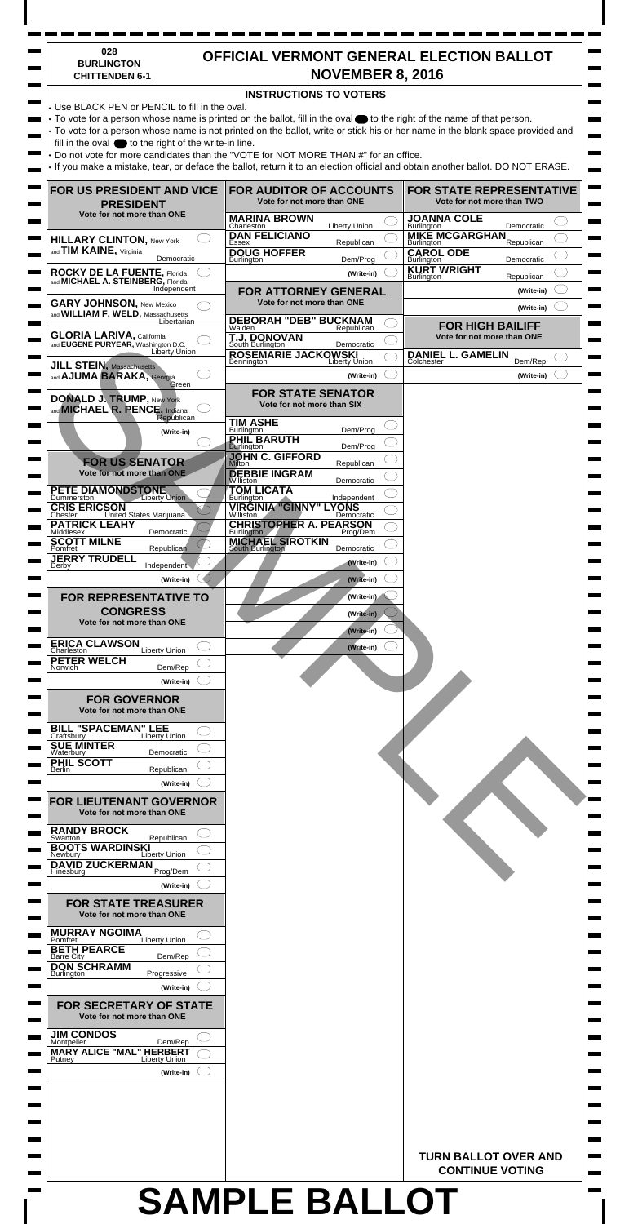## **SAMPLE BALLOT**

| 028<br><b>BURLINGTON</b><br><b>CHITTENDEN 6-1</b>                                                                                                                                       |                                                                         | <b>NOVEMBER 8, 2016</b>     | <b>OFFICIAL VERMONT GENERAL ELECTION BALLOT</b>                                                                                |  |
|-----------------------------------------------------------------------------------------------------------------------------------------------------------------------------------------|-------------------------------------------------------------------------|-----------------------------|--------------------------------------------------------------------------------------------------------------------------------|--|
|                                                                                                                                                                                         | <b>INSTRUCTIONS TO VOTERS</b>                                           |                             |                                                                                                                                |  |
| • Use BLACK PEN or PENCIL to fill in the oval.<br>$\cdot$ To vote for a person whose name is printed on the ballot, fill in the oval $\bullet$ to the right of the name of that person. |                                                                         |                             |                                                                                                                                |  |
|                                                                                                                                                                                         |                                                                         |                             | • To vote for a person whose name is not printed on the ballot, write or stick his or her name in the blank space provided and |  |
| fill in the oval $\bigcirc$ to the right of the write-in line.<br>Do not vote for more candidates than the "VOTE for NOT MORE THAN #" for an office.                                    |                                                                         |                             |                                                                                                                                |  |
|                                                                                                                                                                                         |                                                                         |                             | If you make a mistake, tear, or deface the ballot, return it to an election official and obtain another ballot. DO NOT ERASE.  |  |
| <b>FOR US PRESIDENT AND VICE</b>                                                                                                                                                        | <b>FOR AUDITOR OF ACCOUNTS</b>                                          |                             | <b>FOR STATE REPRESENTATIVE</b>                                                                                                |  |
| <b>PRESIDENT</b>                                                                                                                                                                        | Vote for not more than ONE                                              |                             | Vote for not more than TWO                                                                                                     |  |
| Vote for not more than ONE                                                                                                                                                              | <b>MARINA BROWN</b><br>Charleston                                       | <b>Liberty Union</b>        | <b>JOANNA COLE</b><br>Democratic<br>Burlington                                                                                 |  |
| <b>HILLARY CLINTON, New York</b>                                                                                                                                                        | <b>DAN FELICIANO</b><br>Essex                                           | Republican                  | <b>MIKE MCGARGHAN</b><br>Republican<br>Burlington                                                                              |  |
| and TIM KAINE, Virginia<br>Democratic                                                                                                                                                   | <b>DOUG HOFFER</b><br><b>Burlington</b>                                 | Dem/Prog                    | <b>CAROL ODE</b><br>Burlington<br>Democratic                                                                                   |  |
| <b>ROCKY DE LA FUENTE, Florida</b><br>and <b>MICHAEL A. STEINBERG</b> , Florida                                                                                                         |                                                                         | (Write-in)                  | <b>KURT WRIGHT</b><br>Republican<br>Burlington                                                                                 |  |
| Independent<br><b>GARY JOHNSON, New Mexico</b>                                                                                                                                          | <b>FOR ATTORNEY GENERAL</b><br>Vote for not more than ONE               |                             | (Write-in)                                                                                                                     |  |
| and WILLIAM F. WELD, Massachusetts<br>Libertarian                                                                                                                                       | <b>DEBORAH "DEB" BUCKNAM</b>                                            |                             | (Write-in)                                                                                                                     |  |
| <b>GLORIA LARIVA, California</b><br>and EUGENE PURYEAR, Washington D.C.                                                                                                                 | Walden<br><b>T.J. DONOVAN</b><br>South Burlington                       | Republican                  | <b>FOR HIGH BAILIFF</b><br>Vote for not more than ONE                                                                          |  |
| Liberty Union                                                                                                                                                                           | <b>ROSEMARIE JACKOWSKI</b>                                              | Democratic                  | <b>DANIEL L. GAMELIN</b>                                                                                                       |  |
| <b>JILL STEIN, Massachusetts</b><br>and <b>AJUMA BARAKA</b> , Georgia                                                                                                                   | Bennington                                                              | Liberty Union<br>(Write-in) | Colchester<br>Dem/Rep<br>(Write-in)                                                                                            |  |
| Green                                                                                                                                                                                   | <b>FOR STATE SENATOR</b>                                                |                             |                                                                                                                                |  |
| <b>DONALD J. TRUMP, New York</b><br>and <b>MICHAEL R. PENCE</b> , Indiana                                                                                                               | Vote for not more than SIX                                              |                             |                                                                                                                                |  |
| Republican<br>(Write-in)                                                                                                                                                                | <b>TIM ASHE</b><br>Burlington                                           | Dem/Prog                    |                                                                                                                                |  |
|                                                                                                                                                                                         | PHIL BARUTH<br><b>Burlington</b>                                        | Dem/Prog                    |                                                                                                                                |  |
| <b>FOR US SENATOR</b>                                                                                                                                                                   | <b>JOHN C. GIFFORD</b><br>Milton                                        | Republican                  |                                                                                                                                |  |
| Vote for not more than ONE                                                                                                                                                              | <b>DEBBIE INGRAM</b><br>Williston                                       | Democratic                  |                                                                                                                                |  |
| PETE DIAMONDSTONE<br><b>Liberty Union</b><br>Dummerston                                                                                                                                 | <b>TOM LICATA</b><br><b>Burlington</b><br><b>VIRGINIA "GINNY" LYONS</b> | Independent                 |                                                                                                                                |  |
| <b>CRIS ERICSON</b><br>United States Marijuana<br>Chester<br><b>PATRICK LEAHY</b>                                                                                                       | Williston<br><b>CHRISTOPHER A. PEARSON</b>                              | Democratic                  |                                                                                                                                |  |
| Middlesex<br>Democratic<br><b>SCOTT MILNE</b>                                                                                                                                           | <b>Burlington</b><br><b>MICHAEL SIROTKIN</b>                            | Prog/Dem                    |                                                                                                                                |  |
| Republican<br>Pomfret<br><b>JERRY TRUDELL</b>                                                                                                                                           | South Burlington                                                        | Democratic                  |                                                                                                                                |  |
| Independent<br>Derby                                                                                                                                                                    |                                                                         | (Write-in)                  |                                                                                                                                |  |
| (Write-in)<br><b>FOR REPRESENTATIVE TO</b>                                                                                                                                              |                                                                         | (Write-in)<br>(Write-in)    |                                                                                                                                |  |
| <b>CONGRESS</b>                                                                                                                                                                         |                                                                         | (Write-in)                  |                                                                                                                                |  |
| Vote for not more than ONE                                                                                                                                                              |                                                                         | (Write-in)                  |                                                                                                                                |  |
| <b>ERICA CLAWSON</b><br><b>Liberty Union</b><br>Charleston                                                                                                                              |                                                                         | (Write-in)                  |                                                                                                                                |  |
| <b>PETER WELCH</b><br>Dem/Rep<br>Norwich                                                                                                                                                |                                                                         |                             |                                                                                                                                |  |
| (Write-in)                                                                                                                                                                              |                                                                         |                             |                                                                                                                                |  |
| <b>FOR GOVERNOR</b>                                                                                                                                                                     |                                                                         |                             |                                                                                                                                |  |
| Vote for not more than ONE                                                                                                                                                              |                                                                         |                             |                                                                                                                                |  |
| <b>BILL "SPACEMAN" LEE</b><br>Craftsbury Liberty U<br>Liberty Union<br><b>SUE MINTER</b>                                                                                                |                                                                         |                             |                                                                                                                                |  |
| Waterbury<br>Democratic<br>PHIL SCOTT                                                                                                                                                   |                                                                         |                             |                                                                                                                                |  |
| Republican<br>Berlin<br>(Write-in)                                                                                                                                                      |                                                                         |                             |                                                                                                                                |  |
| <b>FOR LIEUTENANT GOVERNOR</b>                                                                                                                                                          |                                                                         |                             |                                                                                                                                |  |
|                                                                                                                                                                                         |                                                                         |                             |                                                                                                                                |  |
| Vote for not more than ONE                                                                                                                                                              |                                                                         |                             |                                                                                                                                |  |
| <b>RANDY BROCK</b><br>Republican<br>Swanton                                                                                                                                             |                                                                         |                             |                                                                                                                                |  |
| <b>BOOTS WARDINSKI</b><br>Liberty Union<br>Newbury                                                                                                                                      |                                                                         |                             |                                                                                                                                |  |
| <b>DAVID ZUCKERMAN</b><br>Hinesburg<br>Prog/Dem                                                                                                                                         |                                                                         |                             |                                                                                                                                |  |
| (Write-in)                                                                                                                                                                              |                                                                         |                             |                                                                                                                                |  |
| <b>FOR STATE TREASURER</b>                                                                                                                                                              |                                                                         |                             |                                                                                                                                |  |
| Vote for not more than ONE                                                                                                                                                              |                                                                         |                             |                                                                                                                                |  |
| <b>MURRAY NGOIMA</b><br>Liberty Union<br>Pomfret                                                                                                                                        |                                                                         |                             |                                                                                                                                |  |
| <b>BETH PEARCE</b><br>Dem/Rep<br>Barre City                                                                                                                                             |                                                                         |                             |                                                                                                                                |  |
| <b>DON SCHRAMM</b><br><b>Burlington</b><br>Progressive                                                                                                                                  |                                                                         |                             |                                                                                                                                |  |
| (Write-in)                                                                                                                                                                              |                                                                         |                             |                                                                                                                                |  |
| <b>FOR SECRETARY OF STATE</b><br>Vote for not more than ONE                                                                                                                             |                                                                         |                             |                                                                                                                                |  |
| <b>JIM CONDOS</b>                                                                                                                                                                       |                                                                         |                             |                                                                                                                                |  |
| Montpelier<br>Dem/Rep<br><b>MARY ALICE "MAL" HERBERT</b>                                                                                                                                |                                                                         |                             |                                                                                                                                |  |
| <b>Liberty Union</b><br>Putney<br>(Write-in)                                                                                                                                            |                                                                         |                             |                                                                                                                                |  |
|                                                                                                                                                                                         |                                                                         |                             |                                                                                                                                |  |
|                                                                                                                                                                                         |                                                                         |                             |                                                                                                                                |  |
|                                                                                                                                                                                         |                                                                         |                             |                                                                                                                                |  |
|                                                                                                                                                                                         |                                                                         |                             |                                                                                                                                |  |
|                                                                                                                                                                                         |                                                                         |                             | <b>TURN BALLOT OVER AND</b><br><b>CONTINUE VOTING</b>                                                                          |  |